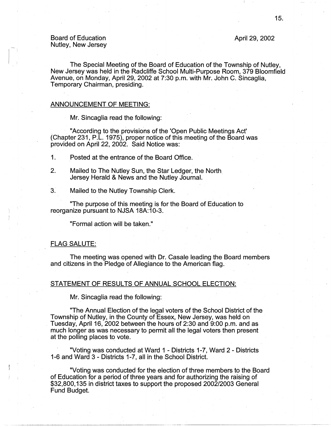# April 29, 2002

# Board of Education Nutley, New Jersey

 $\begin{bmatrix} 1 \\ 1 \end{bmatrix}$ 

The Special Meeting of the Board of Education of the Township of Nutley, New Jersey was held in the Radcliffe School Multi-Purpose Room, 379 Bloomfield Avenue, on Monday, April 29, 2002 at 7:30 p.m. with Mr. John C. Sincaglia, Temporary Chairman, presiding.

## ANNOUNCEMENT OF MEETING:

Mr. Sincaglia read the following:

"According to the provisions of the 'Open Public Meetings Act' (Chapter 231, P .L. 1975), proper notice of this meeting of the Board was provided on April 22, 2002. Said Notice was:

1. Posted at the entrance of the Board Office.

- 2. Mailed to The Nutley Sun, the Star Ledger, the North. Jersey Herald & News and the Nutley Journal.
- 3. Mailed to the Nutley Township Clerk.

"The purpose of this meeting is for the Board of Education to reorganize pursuant to NJSA 18A:10-3.

"Formal action will be taken."

# FLAG SALUTE:

The meeting was opened with Dr. Casale leading the Board members and citizens in the Pledge of Allegiance to the American flag.

## STATEMENT OF RESULTS OF ANNUAL SCHOOL ELECTION:

Mr. Sincaglia read the following:

"The Annual Election of the legal voters of the School District of the Township of Nutley, in the County of Essex, New Jersey, was held on . Tuesday, April 16, 2002 between the hours of 2:30 and 9:00 p.m. and as much longer as was necessary to permit all the legal voters then present at the polling places to vote.

"Voting was conducted at Ward 1 - Districts 1-7, Ward 2 - Districts 1-6 and Ward·3 - Districts 1-7, all in the School District.

"Voting was conducted for the election of three members to the Board of Education for a period of three years and for authorizing the raising of \$32,800, 135 in district taxes to support the proposed 2002/2003 General Fund Budget.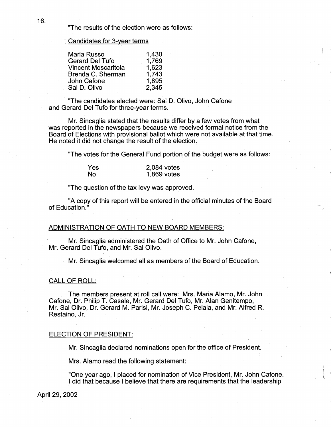"The results of the election were as follows:

## Candidates for 3-year terms

| Maria Russo                | 1,430 |
|----------------------------|-------|
| <b>Gerard Del Tufo</b>     | 1,769 |
| <b>Vincent Moscaritola</b> | 1,623 |
| Brenda C. Sherman          | 1,743 |
| John Cafone                | 1,895 |
| Sal D. Olivo               | 2,345 |

"The candidates elected were: Sal D. Olivo, John Catone and Gerard Del Tufo for three-year terms.

Mr. Sincaglia stated that the results differ by a few votes from what was reported in the newspapers because we received formal notice from the Board of Elections with provisional ballot which were not available at that time. He noted it did not change the result of the election.

"The votes for the General Fund portion of the budget were as follows:

| Yes       | 2,084 votes |
|-----------|-------------|
| <b>No</b> | 1,869 votes |

"The question of the tax levy was approved.

"A copy of this report will be entered in the official minutes of the Board of Education."

,. I . 1:

### ADMINISTRATION OF OATH TO NEW BOARD MEMBERS:

Mr. Sincaglia administered the Oath of Office to Mr. John Catone, Mr. Gerard Del Tufo, and Mr. Sal Olivo.

Mr. Sincaglia welcomed all as members of the Board of Education.

# CALL OF ROLL:

The members present at roll call were: Mrs. Maria Alamo, Mr. John Cafone, Dr. Philip T. Casale, Mr. Gerard Del Tufo, Mr. Alan Genitempo, Mr. Sal Olivo, Dr. Gerard M. Parisi, Mr. Joseph C. Pelaia, and Mr. Alfred R. Restaino, Jr.

### ELECTION OF PRESIDENT:

Mr. Sincaglia declared nominations open for the office of President.

Mrs. Alamo read the following statement:

"One year ago, I placed for nomination of Vice President, Mr. John Catone. I did that because I believe that there are requirements that the leadership

April 29, 2002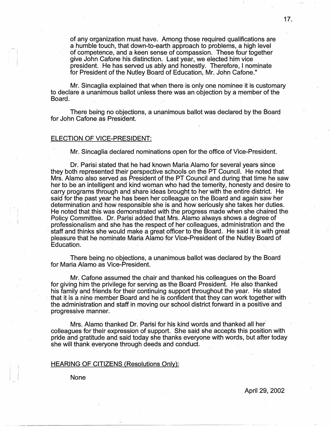of any organization must have. Among those required qualifications are a humble touch, that down-to-earth approach to problems, a high level of competence, and a keen sense of compassion. These four together give John Cafone his distinction. Last year, we elected him vice president. He has served us ably and honestly. Therefore, I nominate for President of the Nutley Board of Education, Mr. John Cafone."

Mr. Sincaglia explained that when there is only one nominee it is customary to declare a unanimous ballot unless there was an objection by a member of the Board.

There being no objections, a unanimous ballot was declared by the Board for John Cafone as President.

### ELECTION OF VICE-PRESIDENT:

Mr. Sincaglia declared nominations open for the office of Vice-President.

Dr. Parisi stated that he had known Maria Alamo for several years since they both represented their perspective schools on the PT Council. He noted that Mrs. Alamo also served as President of the PT Council and during that time he saw her to be an intelligent and kind woman who had the temerity, honesty and desire to carry programs through and share ideas brought to her with the entire district. He said for the past year he has been her colleague on the Board and again saw her determination and how responsible she is and how seriously she takes her duties. He noted that this was demonstrated with the progress made when she chaired the Policy Committee. Dr. Parisi added that Mrs. Alamo always shows a degree of professionalism and she has the respect of her colleagues, administration and the staff and thinks she would make a great officer to the Board. He said it is with great pleasure that he nominate Maria Alamo for Vice-President of the Nutley Board of Education.

There being no objections, a unanimous ballot was declared by the Board for Maria Alamo as Vice-President.

Mr. Cafone assumed the chair and thanked his colleagues on the Board for giving him the privilege for serving as the Board President. He also thanked his family and friends for their continuing support throughout the year. He stated that it is a nine member Board and he is confident that they can work together with the administration and staff in moving our school district forward in a positive and progressive manner.

Mrs. Alamo thanked Dr. Parisi for his kind words and thanked all her colleagues for their expression of support. She said she accepts this position with pride and gratitude and said today she thanks everyone with words, but after today she will thank everyone through deeds and conduct.

## HEARING OF CITIZENS (Resolutions Only):

None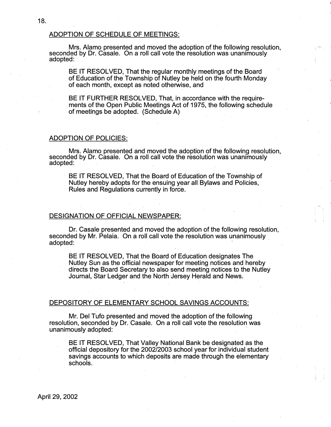# ADOPTION OF SCHEDULE OF MEETINGS:

Mrs. Alamo presented and moved the adoption of the following resolution, seconded by Dr. Casale. On a roll call vote the resolution was unanimously adopted:

BE IT RESOLVED, That the regular monthly meetings of the Board of Education of the Township of Nutley be held on the fourth Monday of each month, except as noted otherwise, and

BE IT FURTHER RESOLVED, That, in accordance with the requirements of the Open Public Meetings Act of 1975, the following schedule of meetings be adopted. (Schedule A)

# ADOPTION OF POLICIES:

Mrs. Alamo presented and moved the adoption of the following resolution, seconded by Dr. Casale. On a roll call vote the resolution was unanimously adopted:

BE IT RESOLVED, That the Board of Education of the Township of Nutley hereby adopts for the ensuing year all Bylaws and Policies, Rules and Regulations currently in force.

## DESIGNATION OF OFFICIAL NEWSPAPER:

Dr. Casale presented and moved the adoption of the following resolution, seconded by Mr. Pelaia. On a roll call vote the resolution was unanimously adopted:

 $\mathbf{I} = \mathbf{I}$ 

BE IT RESOLVED, That the Board of Education designates The Nutley Sun as the official newspaper for meeting notices and hereby directs the Board Secretary to also send meeting notices to the Nutley Journal, Star Ledger and the North Jersey Herald and News.

# DEPOSITORY OF ELEMENTARY SCHOOL SAVINGS ACCOUNTS:

Mr. Del Tufo presented and moved the adoption of the following resolution, seconded by Dr. Casale. On a roll call vote the resolution was unanimously adopted:

BE IT RESOLVED, That Valley National Bank be designated as the official depository for the 2002/2003 school year for individual student savings accounts to which deposits are made through the elementary schools.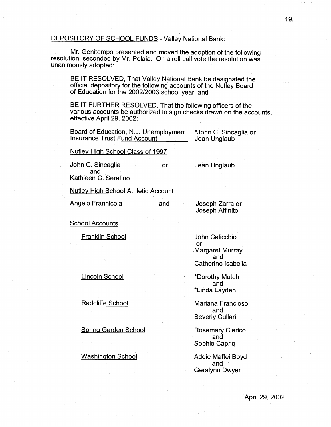# DEPOSITORY OF SCHOOL FUNDS - Valley National Bank:

Mr. Genitempo presented and moved the adoption of the following resolution, seconded by Mr. Pelaia. On a roll call vote the resolution was unanimously adopted:

BE IT RESOLVED, That Valley National Bank be designated the official depository for the following accounts of the Nutley Board of Education for the 2002/2003 school year, and

BE IT FURTHER RESOLVED, That the following officers of the various accounts be authorized to sign checks drawn on the accounts, effective April 29, 2002:

or

and ,

Board of Education, N.J. Unemployment Insurance Trust Fund Account

\* John C. Sincaglia or Jean Unglaub

Nutley High School Class of 1997

John C. Sincaglia and · Kathleen C. Serafino

Nutley High School Athletic Account

Angelo Frannicola

Joseph Zarra or Joseph Affinito

Jean Unglaub

School Accounts

Franklin School

John Calicchio or -Margaret Murray and Catherine lsabefla

\*Dorothy Mutch and \*Linda Layden

Mariana Franciosa and Beverly Cullari

Rosemary Clerico and Sophie Caprio

Addie Maffei Boyd and Geralynn Dwyer

Lincoln School

Radcliffe School

Spring Garden School

Washington School

 $\vert \hspace{.06cm} \vert$  j

April 29, 2002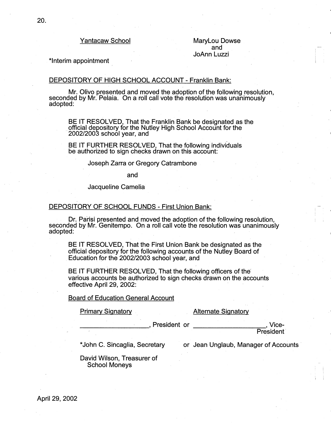Yantacaw School

Marylou Dowse and JoAnn Luzzi

\*Interim appointment

## DEPOSITORY OF HIGH SCHOOL ACCOUNT - Franklin Bank:

Mr. Olivo presented and moved the adoption of the following resolution, seconded by Mr. Pelaia. On a roll call vote the resolution was unanimously adopted:

BE IT RESOLVED, That the Franklin Bank be designated as the .. official depository for the Nutley High School Account for the 2002/2003 school year, and

BE IT FURTHER RESOLVED, That the following individuals be authorized to sign checks drawn on this account:

Joseph Zarra or Gregory Catrambone

and

Jacqueline Camelia

### DEPOSITORY OF SCHOOL FUNDS - First Union Bank:

Dr. Parisi presented and moved the adoption of the following resolution, seconded by Mr. Genitempo. On a roll call vote the resolution was unanimously adopted:

BE IT RESOLVED, That the First Union Bank be designated as the official depository for the following accounts of the Nutley Board of Education for the 2002/2003 school year, and

BE IT FURTHER RESOLVED, That the following officers of the various accounts be authorized to sign checks drawn on the accounts effective April 29, 2002:

## Board of Education General Account

**Primary Signatory Community Alternate Signatory** 

President or  $\qquad \qquad$  . Vice-

**President** 

\* John C. Sincaglia, Secretary

or Jean Unglaub, Manager of Accounts ·

David Wilson, Treasurer of School Moneys

April 29, 2002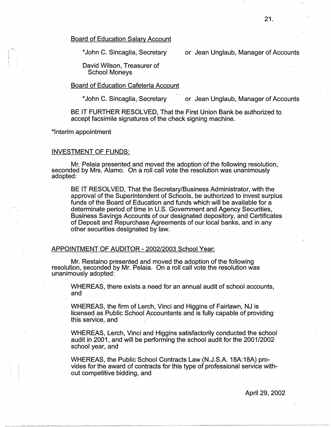\* John C. Sincaglia, Secretary

or Jean Unglaub, Manager of Accounts

David Wilson, Treasurer of School Moneys

# Board of Education Cafeteria Account

\* John C. Sincaglia, Secretary or Jean Unglaub, Manager of Accounts

BE IT FURTHER RESOLVED, That the First Union Bank be authorized to accept facsimile signatures of the check signing machine.

\*Interim appointment

# INVESTMENT OF FUNDS:.

Mr. Pelaia presented and moved the adoption of the following resolution, seconded by Mrs. Alamo. On a roll call vote the resolution was unanimously adopted:

BE IT RESOLVED, That the Secretary/Business Administrator, with the approval of the Superintendent of Schools, be authorized to invest surplus funds of the Board of Education and funds which will be available for a determinate period of time in U.S. Government and Agency Securities, Business Savings Accounts of our designated depository, and Certificates of Deposit and Repurchase Agreements of our local banks, and in any other securities designated by law.

APPOINTMENT OF AUDITOR- 2002/2003 School Year:

Mr. Restaino presented and moved the adoption of the following resolution, seconded by Mr. Pelaia. On a roll call vote the resolution was unanimously adopted:

WHEREAS, there exists a need for an annual audit of school accounts, and , we have a set of  $\mathcal{A}$  , we have a set of  $\mathcal{A}$  , we have  $\mathcal{A}$ 

WHEREAS, the firm of Lerch, Vinci and Higgins of Fairlawn, NJ is licensed as Public School Accountants and is fully capable of providing this service, and

WHEREAS, Lerch, Vinci and Higgins satisfactorily conducted the school audit in 2001, and will be performing the school audit for the 2001/2002 school year, and

WHEREAS, the Public School Contracts Law (N.J.S.A. 18A:18A) provides for the award of contracts for this type of professional service without competitive bidding, and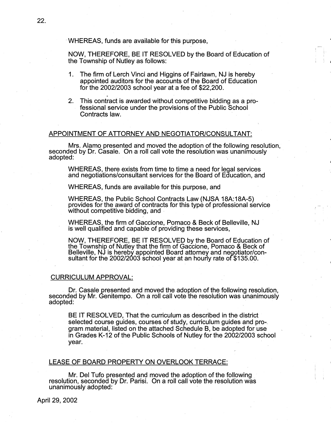· WHEREAS, funds are available for this purpose,

NOW, THEREFORE, BE IT RESOLVED by the Board of Education of the Township of Nutley as follows:

- 1. The firm of Lerch Vinci and Higgins of Fairlawn, NJ is hereby appointed auditors for the accounts of the Board of Education for the 2002/2003 school year at a fee of \$22,200.
- 2. This contract is awarded without competitive bidding as a professional service under the provisions of the Public School Contracts law.

## APPOINTMENT OF ATTORNEY AND NEGOTIATOR/CONSULTANT:

Mrs. Alamo presented and moved the adoption of the following resolution, seconded by Dr. Casale. On a roll call vote the resolution was unanimously adopted: adopted: ·

WHEREAS, there exists from time to time a need for legal services and negotiations/consultant services for the Board of Education, and

WHEREAS, funds are available for this purpose, and

WHEREAS, the Public School Contracts Law (NJSA 18A:18A-5) provides for the award of contracts for this type of professional service without competitive bidding, and

WHEREAS, the firm of Gaccione, Pomaco & Beck of Belleville, NJ is well qualified and capable of providing these services,

NOW, THEREFORE, BE IT RESOLVED by the Board of Education of the Township of Nutley that the firm of Gaccione, Pomaco & Beck of Belleville, NJ is hereby appointed Board attorney and negotiator/consultant for the 2002/2003 school year at an hourly rate of \$135.00.

#### CURRICULUM APPROVAL:

. Dr. Casale presented and moved the adoption of the following resolution, seconded by Mr. Genitempo. On a roll call vote the resolution was unanimously adopted: · ·

BE IT RESOLVED, That the curriculum as described in the district selected course guides, courses of study, curriculum guides and program.material, listed on the attached Schedule 8, be adopted for use in Grades K-12 of the Public Schools of Nutley for the 2002/2003 school year.

 $\vert \cdot \vert$ 

## LEASE OF BOARD PROPERTY ON OVERLOOK TERRACE:

Mr. Del Tufo presented and moved the adoption of the following . resolution, seconded by Dr. Parisi. On a roll call vote the resolution was unanimously adopted: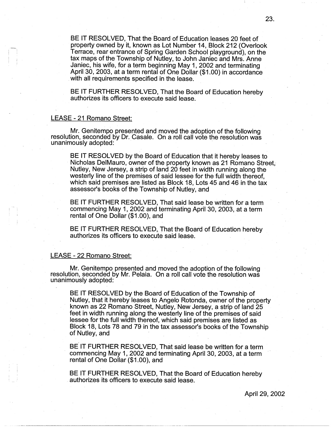BE IT RESOLVED, That the Board of Education leases 20 feet of property owned by it, known as Lot Number 14, Block 212 (Overlook Terrace, rear entrance of Spring Garden School playground), on the tax maps of the Township of Nutley, to John Janiec and Mrs. Anne Janiec, his wife, for a term beginning May 1, 2002 and terminating April 30, 2003, at a term rental of One Dollar (\$1.00) in accordance . with all requirements specified in the lease.

BE IT FURTHER RESOLVED, That the Board of Education hereby authorizes its officers to execute said lease.

### LEASE - 21 Romano Street:

Mr. Genitempo presented and moved the adoption of the following resolution, seconded by Dr. Casale. On a roll call vote the resolution was unanimously adopted:

BE IT RESOLVED by the Board of Education that it hereby leases to Nicholas DelMauro, owner of the property known as 21 Romano Street, Nutley, New Jersey, a strip of land 20 feet in width running along the westerly line of the premises of said lessee for the full width thereof. which said premises are listed as Block 18, Lots 45 and 46 in the tax assessor's books of the Township of Nutley, and

BE IT FURTHER RESOLVED, That said lease be written for a term commencing May 1, 2002 and terminating April 30, 2003, at a term rental of One Dollar (\$1.00), and

BE IT FURTHER RESOLVED, That the Board of Education hereby authorizes its officers to execute said lease.

# LEASE - 22 Romano Street:

Mr. Genitempo presented and moved the adoption of the following resolution, seconded by Mr. Pelaia. On a roll call vote the resolution was unanimously adopted:

BE IT RESOLVED by the Board of Education of the Township of Nutley, that it hereby leases to Angelo Rotonda, owner of the property known as 22 Romano Street, Nutley, New Jersey, a strip of land 25 feet in width running along'the westerly line of the premises of said lessee for the full width thereof, which said premises are listed as Block 18, Lots 78 and 79 in the tax assessor's books of the Township of Nutley, and

BE IT FURTHER RESOLVED, That said lease be written for a term commencing May 1, 2002 and terminating April 30, 2003, at a term rental of One Dollar (\$1.00), and

BE ff FURTHER RESOLVED, That the Board of Education hereby . authorizes its officers to execute said lease.